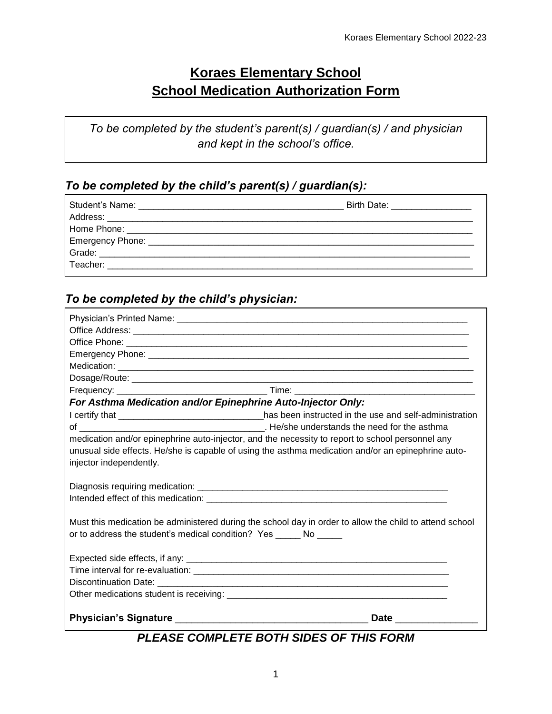# **Koraes Elementary School School Medication Authorization Form**

*To be completed by the student's parent(s) / guardian(s) / and physician and kept in the school's office.* 

#### *To be completed by the child's parent(s) / guardian(s):*

| Birth Date: ______________ |
|----------------------------|
|                            |
|                            |
|                            |
|                            |
|                            |
|                            |

#### *To be completed by the child's physician:*

| For Asthma Medication and/or Epinephrine Auto-Injector Only:                                            |  |
|---------------------------------------------------------------------------------------------------------|--|
| I certify that _______________________________has been instructed in the use and self-administration    |  |
|                                                                                                         |  |
| medication and/or epinephrine auto-injector, and the necessity to report to school personnel any        |  |
| unusual side effects. He/she is capable of using the asthma medication and/or an epinephrine auto-      |  |
| injector independently.                                                                                 |  |
|                                                                                                         |  |
|                                                                                                         |  |
|                                                                                                         |  |
|                                                                                                         |  |
| Must this medication be administered during the school day in order to allow the child to attend school |  |
| or to address the student's medical condition? Yes ______ No _____                                      |  |
|                                                                                                         |  |
|                                                                                                         |  |
|                                                                                                         |  |
|                                                                                                         |  |
|                                                                                                         |  |
| Date ________________                                                                                   |  |

### *PLEASE COMPLETE BOTH SIDES OF THIS FORM*